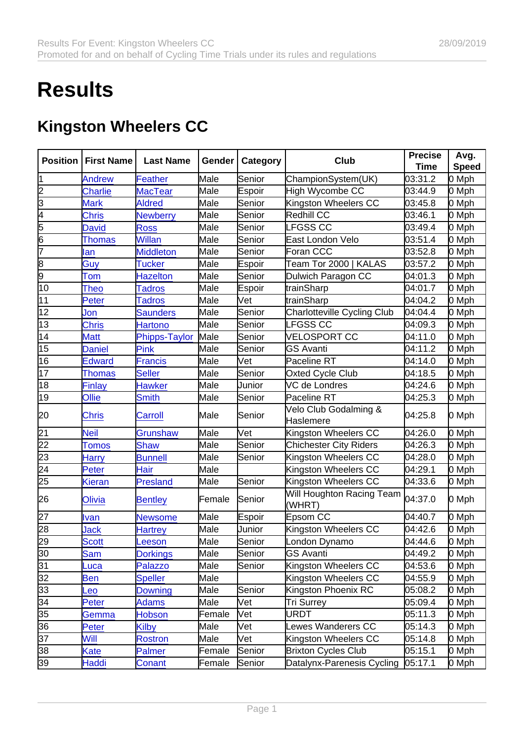## **Results**

## Kingston Wheelers CC

| Position        | <b>First Name</b> | Last Name        | Gender | Category | Club                                | Precise | Avg.  |
|-----------------|-------------------|------------------|--------|----------|-------------------------------------|---------|-------|
|                 |                   |                  |        |          |                                     | Time    | Speed |
| 11              | <b>Andrew</b>     | Feather          | Male   | Senior   | ChampionSystem(UK)                  | 03:31.2 | 0 Mph |
| 2               | <b>Charlie</b>    | <b>MacTear</b>   | Male   | Espoir   | High Wycombe CC                     | 03:44.9 | 0 Mph |
| 3               | <b>Mark</b>       | <b>Aldred</b>    | Male   | Senior   | Kingston Wheelers CC                | 03:45.8 | 0 Mph |
| 4               | <b>Chris</b>      | <b>Newberry</b>  | Male   | Senior   | Redhill CC                          | 03:46.1 | 0 Mph |
| 5               | <b>David</b>      | <b>Ross</b>      | Male   | Senior   | <b>LFGSS CC</b>                     | 03:49.4 | 0 Mph |
| $\frac{6}{7}$   | <b>Thomas</b>     | <b>Willan</b>    | Male   | Senior   | East London Velo                    | 03:51.4 | 0 Mph |
|                 | lan               | <b>Middleton</b> | Male   | Senior   | Foran CCC                           | 03:52.8 | 0 Mph |
| 8               | Guy               | <b>Tucker</b>    | Male   | Espoir   | Team Tor 2000   KALAS               | 03:57.2 | 0 Mph |
| 9               | <b>Tom</b>        | <b>Hazelton</b>  | Male   | Senior   | Dulwich Paragon CC                  | 04:01.3 | 0 Mph |
| $\overline{10}$ | <b>Theo</b>       | <b>Tadros</b>    | Male   | Espoir   | trainSharp                          | 04:01.7 | 0 Mph |
| 11              | Peter             | <b>Tadros</b>    | Male   | Vet      | trainSharp                          | 04:04.2 | 0 Mph |
| 12              | Jon               | <b>Saunders</b>  | Male   | Senior   | Charlotteville Cycling Club         | 04:04.4 | 0 Mph |
| 13              | <b>Chris</b>      | <b>Hartono</b>   | Male   | Senior   | LFGSS CC                            | 04:09.3 | 0 Mph |
| 14              | <b>Matt</b>       | Phipps-Taylor    | Male   | Senior   | <b>VELOSPORT CC</b>                 | 04:11.0 | 0 Mph |
| $\overline{15}$ | <b>Daniel</b>     | Pink             | Male   | Senior   | <b>GS Avanti</b>                    | 04:11.2 | 0 Mph |
| 16              | <b>Edward</b>     | <b>Francis</b>   | Male   | Vet      | Paceline RT                         | 04:14.0 | 0 Mph |
| $\overline{17}$ | <b>Thomas</b>     | <b>Seller</b>    | Male   | Senior   | Oxted Cycle Club                    | 04:18.5 | 0 Mph |
| 18              | Finlay            | <b>Hawker</b>    | Male   | Junior   | VC de Londres                       | 04:24.6 | 0 Mph |
| 19              | Ollie             | <b>Smith</b>     | Male   | Senior   | Paceline RT                         | 04:25.3 | 0 Mph |
| 20              | <b>Chris</b>      | Carroll          | Male   | Senior   | Velo Club Godalming &               | 04:25.8 | 0 Mph |
|                 |                   |                  |        |          | Haslemere                           |         |       |
| $\overline{21}$ | <b>Neil</b>       | Grunshaw         | Male   | Vet      | Kingston Wheelers CC                | 04:26.0 | 0 Mph |
| $\overline{22}$ | <b>Tomos</b>      | <b>Shaw</b>      | Male   | Senior   | <b>Chichester City Riders</b>       | 04:26.3 | 0 Mph |
| $\overline{23}$ | Harry             | <b>Bunnell</b>   | Male   | Senior   | Kingston Wheelers CC                | 04:28.0 | 0 Mph |
| 24              | Peter             | Hair             | Male   |          | Kingston Wheelers CC                | 04:29.1 | 0 Mph |
| 25              | <b>Kieran</b>     | <b>Presland</b>  | Male   | Senior   | Kingston Wheelers CC                | 04:33.6 | 0 Mph |
| 26              | Olivia            | <b>Bentley</b>   | Female | Senior   | Will Houghton Racing Team<br>(WHRT) | 04:37.0 | 0 Mph |
| 27              | <b>Ivan</b>       | <b>Newsome</b>   | Male   | Espoir   | Epsom CC                            | 04:40.7 | 0 Mph |
| 28              | <b>Jack</b>       |                  | Male   | Junior   | Kingston Wheelers CC                | 04:42.6 | 0 Mph |
| 29              | <b>Scott</b>      | <b>Hartrey</b>   | Male   | Senior   | London Dynamo                       | 04:44.6 | 0 Mph |
| 30              | <b>Sam</b>        | <b>Leeson</b>    | Male   | Senior   | <b>GS Avanti</b>                    | 04:49.2 | 0 Mph |
| 31              |                   | <b>Dorkings</b>  | Male   | Senior   | Kingston Wheelers CC                | 04:53.6 | 0 Mph |
| $\overline{32}$ | Luca              | <b>Palazzo</b>   | Male   |          | Kingston Wheelers CC                |         |       |
| 33              | <u>Ben</u>        | <b>Speller</b>   | Male   |          | Kingston Phoenix RC                 | 04:55.9 | 0 Mph |
|                 | -eo               | Downing          |        | Senior   |                                     | 05:08.2 | 0 Mph |
| 34              | Peter             | <b>Adams</b>     | Male   | Vet      | <b>Tri Surrey</b>                   | 05:09.4 | 0 Mph |
| 35              | Gemma             | <b>Hobson</b>    | Female | Vet      | URDT                                | 05:11.3 | 0 Mph |
| 36              | Peter             | Kilby            | Male   | Vet      | Lewes Wanderers CC                  | 05:14.3 | 0 Mph |
| $\overline{37}$ | Will              | <b>Rostron</b>   | Male   | Vet      | Kingston Wheelers CC                | 05:14.8 | 0 Mph |
| 38              | <u>Kate</u>       | <b>Palmer</b>    | Female | Senior   | <b>Brixton Cycles Club</b>          | 05:15.1 | 0 Mph |
| 39              | Haddi             | Conant           | Female | Senior   | Datalynx-Parenesis Cycling          | 05:17.1 | 0 Mph |